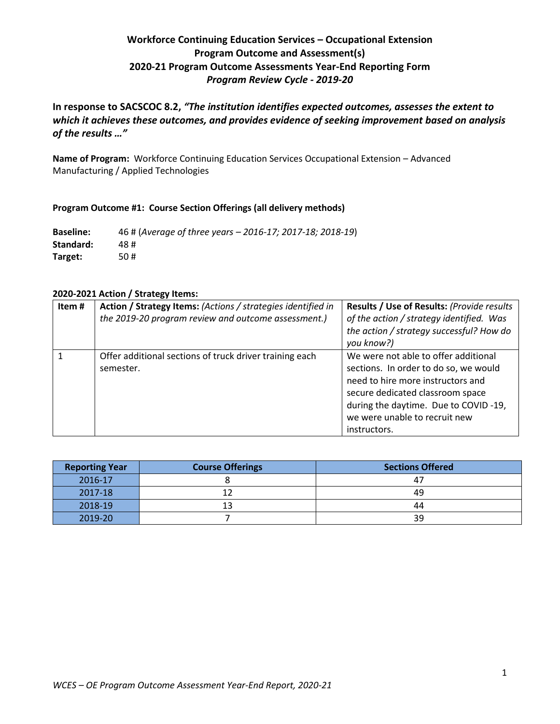# **Workforce Continuing Education Services – Occupational Extension Program Outcome and Assessment(s) 2020-21 Program Outcome Assessments Year-End Reporting Form** *Program Review Cycle - 2019-20*

**In response to SACSCOC 8.2,** *"The institution identifies expected outcomes, assesses the extent to which it achieves these outcomes, and provides evidence of seeking improvement based on analysis of the results …"*

**Name of Program:** Workforce Continuing Education Services Occupational Extension – Advanced Manufacturing / Applied Technologies

#### **Program Outcome #1: Course Section Offerings (all delivery methods)**

**Baseline:** 46 # (*Average of three years – 2016-17; 2017-18; 2018-19*) **Standard:** 48 # **Target:** 50 #

## **2020-2021 Action / Strategy Items:**

| Item# | Action / Strategy Items: (Actions / strategies identified in<br>the 2019-20 program review and outcome assessment.) | Results / Use of Results: (Provide results<br>of the action / strategy identified. Was<br>the action / strategy successful? How do<br>you know?)                                                                                                |
|-------|---------------------------------------------------------------------------------------------------------------------|-------------------------------------------------------------------------------------------------------------------------------------------------------------------------------------------------------------------------------------------------|
|       | Offer additional sections of truck driver training each<br>semester.                                                | We were not able to offer additional<br>sections. In order to do so, we would<br>need to hire more instructors and<br>secure dedicated classroom space<br>during the daytime. Due to COVID-19,<br>we were unable to recruit new<br>instructors. |

| <b>Reporting Year</b> | <b>Course Offerings</b> | <b>Sections Offered</b> |
|-----------------------|-------------------------|-------------------------|
| 2016-17               |                         | 47                      |
| 2017-18               |                         | 49                      |
| 2018-19               | 13                      | 44                      |
| 2019-20               |                         | 39                      |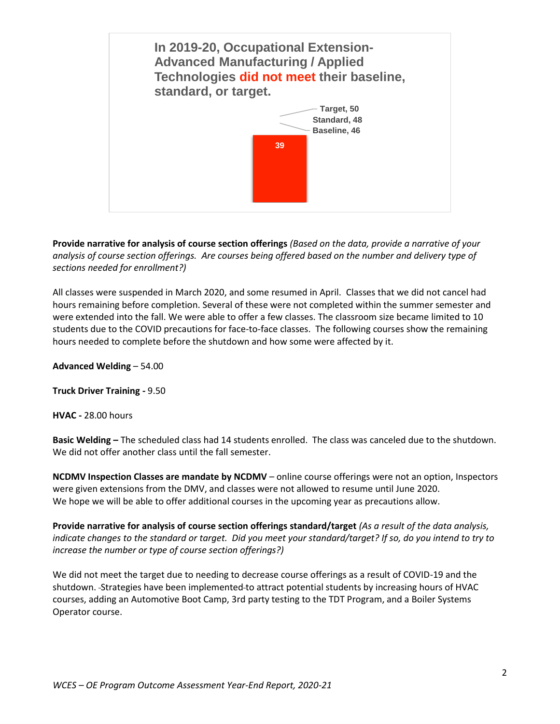

**Provide narrative for analysis of course section offerings** *(Based on the data, provide a narrative of your analysis of course section offerings. Are courses being offered based on the number and delivery type of sections needed for enrollment?)*

All classes were suspended in March 2020, and some resumed in April. Classes that we did not cancel had hours remaining before completion. Several of these were not completed within the summer semester and were extended into the fall. We were able to offer a few classes. The classroom size became limited to 10 students due to the COVID precautions for face-to-face classes. The following courses show the remaining hours needed to complete before the shutdown and how some were affected by it.

**Advanced Welding** – 54.00

**Truck Driver Training -** 9.50

**HVAC -** 28.00 hours

**Basic Welding –** The scheduled class had 14 students enrolled. The class was canceled due to the shutdown. We did not offer another class until the fall semester.

**NCDMV Inspection Classes are mandate by NCDMV** – online course offerings were not an option, Inspectors were given extensions from the DMV, and classes were not allowed to resume until June 2020. We hope we will be able to offer additional courses in the upcoming year as precautions allow.

**Provide narrative for analysis of course section offerings standard/target** *(As a result of the data analysis, indicate changes to the standard or target. Did you meet your standard/target? If so, do you intend to try to increase the number or type of course section offerings?)*

We did not meet the target due to needing to decrease course offerings as a result of COVID-19 and the shutdown. Strategies have been implemented to attract potential students by increasing hours of HVAC courses, adding an Automotive Boot Camp, 3rd party testing to the TDT Program, and a Boiler Systems Operator course.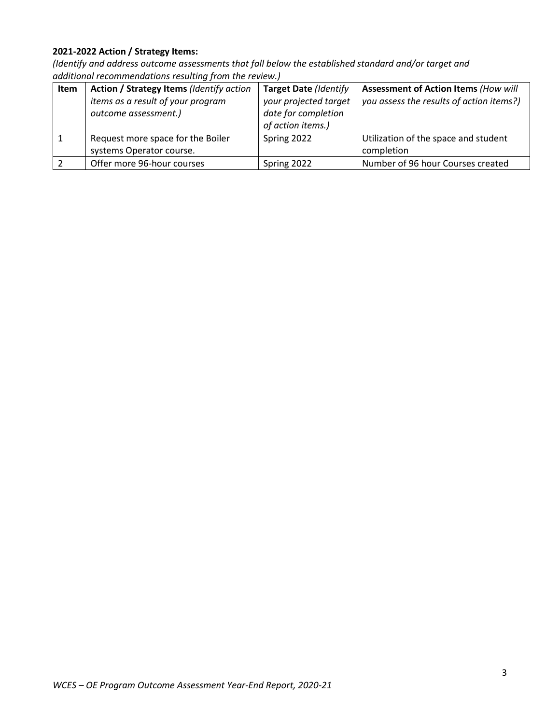## **2021-2022 Action / Strategy Items:**

| Item | Action / Strategy Items (Identify action<br>items as a result of your program<br>outcome assessment.) | <b>Target Date (Identify</b><br>your projected target<br>date for completion<br>of action items.) | <b>Assessment of Action Items (How will</b><br>you assess the results of action items?) |
|------|-------------------------------------------------------------------------------------------------------|---------------------------------------------------------------------------------------------------|-----------------------------------------------------------------------------------------|
|      | Request more space for the Boiler<br>systems Operator course.                                         | Spring 2022                                                                                       | Utilization of the space and student<br>completion                                      |
|      | Offer more 96-hour courses                                                                            | Spring 2022                                                                                       | Number of 96 hour Courses created                                                       |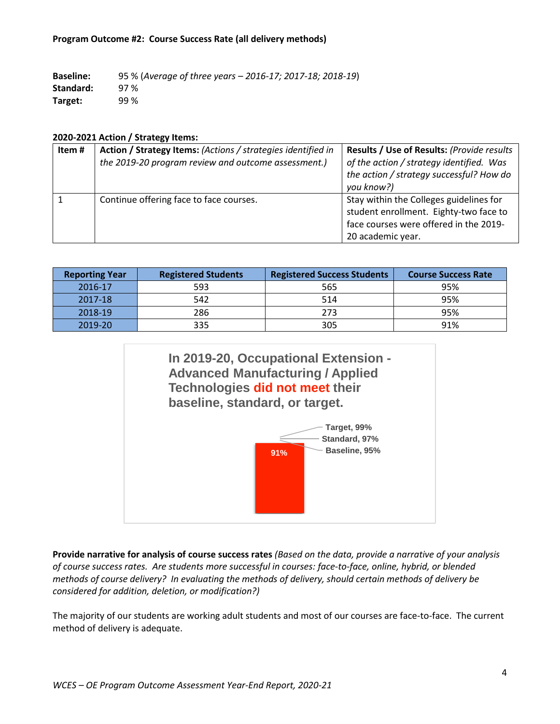#### **Program Outcome #2: Course Success Rate (all delivery methods)**

**Baseline:** 95 % (*Average of three years – 2016-17; 2017-18; 2018-19*) **Standard:** 97 % **Target:** 99 %

#### **2020-2021 Action / Strategy Items:**

| Item# | Action / Strategy Items: (Actions / strategies identified in<br>the 2019-20 program review and outcome assessment.) | Results / Use of Results: (Provide results<br>of the action / strategy identified. Was<br>the action / strategy successful? How do               |
|-------|---------------------------------------------------------------------------------------------------------------------|--------------------------------------------------------------------------------------------------------------------------------------------------|
|       |                                                                                                                     | you know?)                                                                                                                                       |
|       | Continue offering face to face courses.                                                                             | Stay within the Colleges guidelines for<br>student enrollment. Eighty-two face to<br>face courses were offered in the 2019-<br>20 academic year. |

| <b>Reporting Year</b> | <b>Registered Students</b> | <b>Registered Success Students</b> | <b>Course Success Rate</b> |
|-----------------------|----------------------------|------------------------------------|----------------------------|
| 2016-17               | 593                        | 565                                | 95%                        |
| 2017-18               | 542                        | 514                                | 95%                        |
| 2018-19               | 286                        | 273                                | 95%                        |
| 2019-20               | 335                        | 305                                | 91%                        |



**Provide narrative for analysis of course success rates** *(Based on the data, provide a narrative of your analysis of course success rates. Are students more successful in courses: face-to-face, online, hybrid, or blended methods of course delivery? In evaluating the methods of delivery, should certain methods of delivery be considered for addition, deletion, or modification?)*

The majority of our students are working adult students and most of our courses are face-to-face. The current method of delivery is adequate.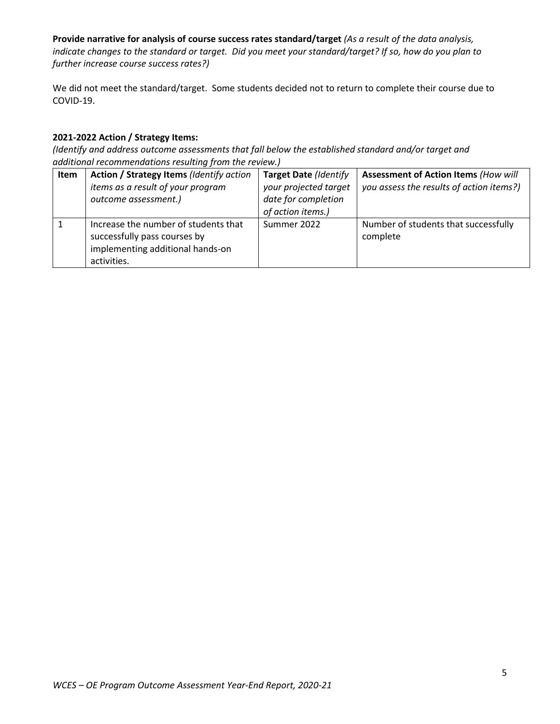**Provide narrative for analysis of course success rates standard/target** *(As a result of the data analysis, indicate changes to the standard or target. Did you meet your standard/target? If so, how do you plan to further increase course success rates?)*

We did not meet the standard/target. Some students decided not to return to complete their course due to COVID-19.

## **2021-2022 Action / Strategy Items:**

| Item | Action / Strategy Items (Identify action                                                                                | <b>Target Date (Identify</b> | <b>Assessment of Action Items (How will</b>      |
|------|-------------------------------------------------------------------------------------------------------------------------|------------------------------|--------------------------------------------------|
|      | items as a result of your program                                                                                       | your projected target        | you assess the results of action items?)         |
|      | outcome assessment.)                                                                                                    | date for completion          |                                                  |
|      |                                                                                                                         | of action items.)            |                                                  |
|      | Increase the number of students that<br>successfully pass courses by<br>implementing additional hands-on<br>activities. | Summer 2022                  | Number of students that successfully<br>complete |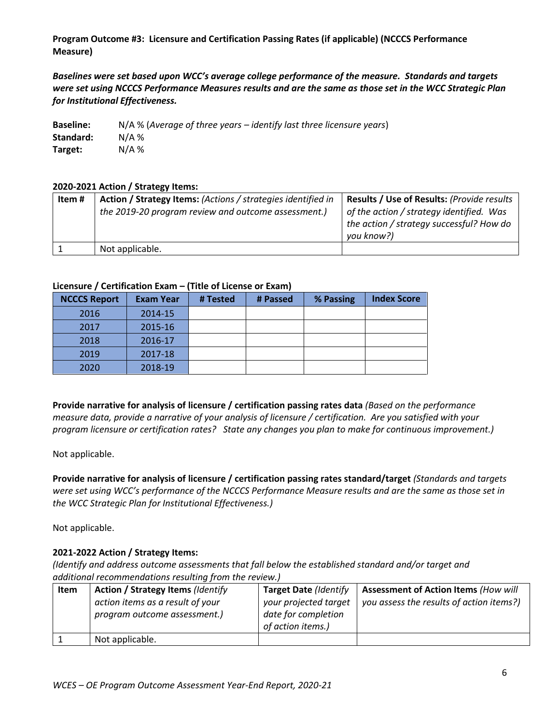**Program Outcome #3: Licensure and Certification Passing Rates (if applicable) (NCCCS Performance Measure)**

*Baselines were set based upon WCC's average college performance of the measure. Standards and targets were set using NCCCS Performance Measures results and are the same as those set in the WCC Strategic Plan for Institutional Effectiveness.*

| <b>Baseline:</b> | $N/A$ % (Average of three years – identify last three licensure years) |
|------------------|------------------------------------------------------------------------|
| Standard:        | $N/A$ %                                                                |
| Target:          | $N/A$ %                                                                |

#### **2020-2021 Action / Strategy Items:**

| Item # | Action / Strategy Items: (Actions / strategies identified in | Results / Use of Results: (Provide results                                                         |
|--------|--------------------------------------------------------------|----------------------------------------------------------------------------------------------------|
|        | the 2019-20 program review and outcome assessment.)          | of the action / strategy identified. Was<br>the action / strategy successful? How do<br>you know?) |
|        | Not applicable.                                              |                                                                                                    |

#### **Licensure / Certification Exam – (Title of License or Exam)**

| <b>NCCCS Report</b> | <b>Exam Year</b> | # Tested | # Passed | % Passing | <b>Index Score</b> |
|---------------------|------------------|----------|----------|-----------|--------------------|
| 2016                | 2014-15          |          |          |           |                    |
| 2017                | 2015-16          |          |          |           |                    |
| 2018                | 2016-17          |          |          |           |                    |
| 2019                | 2017-18          |          |          |           |                    |
| 2020                | 2018-19          |          |          |           |                    |

**Provide narrative for analysis of licensure / certification passing rates data** *(Based on the performance measure data, provide a narrative of your analysis of licensure / certification. Are you satisfied with your program licensure or certification rates? State any changes you plan to make for continuous improvement.)*

Not applicable.

**Provide narrative for analysis of licensure / certification passing rates standard/target** *(Standards and targets were set using WCC's performance of the NCCCS Performance Measure results and are the same as those set in the WCC Strategic Plan for Institutional Effectiveness.)*

Not applicable.

#### **2021-2022 Action / Strategy Items:**

| <b>Item</b> | <b>Action / Strategy Items (Identify</b>                         | <b>Target Date (Identify</b>                                      | <b>Assessment of Action Items (How will</b> |
|-------------|------------------------------------------------------------------|-------------------------------------------------------------------|---------------------------------------------|
|             | action items as a result of your<br>program outcome assessment.) | your projected target<br>date for completion<br>of action items.) | you assess the results of action items?)    |
|             | Not applicable.                                                  |                                                                   |                                             |